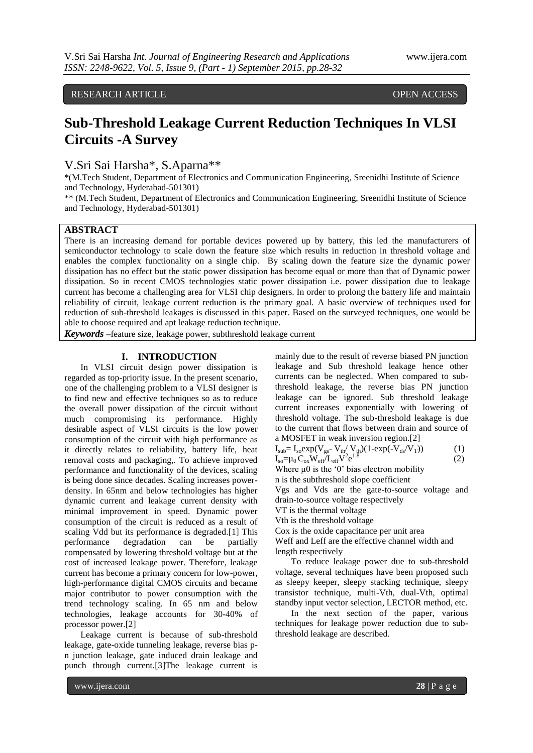RESEARCH ARTICLE **OPEN ACCESS** 

# **Sub-Threshold Leakage Current Reduction Techniques In VLSI Circuits -A Survey**

V.Sri Sai Harsha\*, S.Aparna\*\*

\*(M.Tech Student, Department of Electronics and Communication Engineering, Sreenidhi Institute of Science and Technology, Hyderabad-501301)

\*\* (M.Tech Student, Department of Electronics and Communication Engineering, Sreenidhi Institute of Science and Technology, Hyderabad-501301)

## **ABSTRACT**

There is an increasing demand for portable devices powered up by battery, this led the manufacturers of semiconductor technology to scale down the feature size which results in reduction in threshold voltage and enables the complex functionality on a single chip. By scaling down the feature size the dynamic power dissipation has no effect but the static power dissipation has become equal or more than that of Dynamic power dissipation. So in recent CMOS technologies static power dissipation i.e. power dissipation due to leakage current has become a challenging area for VLSI chip designers. In order to prolong the battery life and maintain reliability of circuit, leakage current reduction is the primary goal. A basic overview of techniques used for reduction of sub-threshold leakages is discussed in this paper. Based on the surveyed techniques, one would be able to choose required and apt leakage reduction technique.

*Keywords* **–**feature size, leakage power, subthreshold leakage current

# **I. INTRODUCTION**

In VLSI circuit design power dissipation is regarded as top-priority issue. In the present scenario, one of the challenging problem to a VLSI designer is to find new and effective techniques so as to reduce the overall power dissipation of the circuit without much compromising its performance. Highly desirable aspect of VLSI circuits is the low power consumption of the circuit with high performance as it directly relates to reliability, battery life, heat removal costs and packaging,. To achieve improved performance and functionality of the devices, scaling is being done since decades. Scaling increases powerdensity. In 65nm and below technologies has higher dynamic current and leakage current density with minimal improvement in speed. Dynamic power consumption of the circuit is reduced as a result of scaling Vdd but its performance is degraded.[1] This performance degradation can be partially compensated by lowering threshold voltage but at the cost of increased leakage power. Therefore, leakage current has become a primary concern for low-power, high-performance digital CMOS circuits and became major contributor to power consumption with the trend technology scaling. In 65 nm and below technologies, leakage accounts for 30-40% of processor power.[2]

Leakage current is because of sub-threshold leakage, gate-oxide tunneling leakage, reverse bias pn junction leakage, gate induced drain leakage and punch through current.[3]The leakage current is

mainly due to the result of reverse biased PN junction leakage and Sub threshold leakage hence other currents can be neglected. When compared to subthreshold leakage, the reverse bias PN junction leakage can be ignored. Sub threshold leakage current increases exponentially with lowering of threshold voltage. The sub-threshold leakage is due to the current that flows between drain and source of a MOSFET in weak inversion region.[2]

$$
I_{sub} = I_{so} exp(V_{gs} - V_{th}/V_{th})(1-exp(-V_{ds}/V_T))
$$
\n
$$
I_{so} = \mu_0 C_{ox} W_{eff} L_{eff} V^2 e^{1.8}
$$
\n(2)

Where  $\mu$ 0 is the '0' bias electron mobility n is the subthreshold slope coefficient

Vgs and Vds are the gate-to-source voltage and drain-to-source voltage respectively

VT is the thermal voltage

Vth is the threshold voltage

Cox is the oxide capacitance per unit area

Weff and Leff are the effective channel width and length respectively

To reduce leakage power due to sub-threshold voltage, several techniques have been proposed such as sleepy keeper, sleepy stacking technique, sleepy transistor technique, multi-Vth, dual-Vth, optimal standby input vector selection, LECTOR method, etc.

In the next section of the paper, various techniques for leakage power reduction due to subthreshold leakage are described.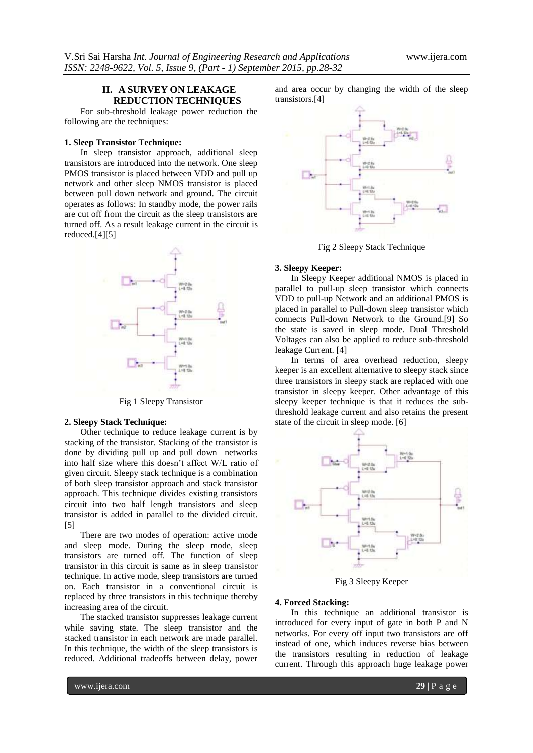## **II. A SURVEY ON LEAKAGE REDUCTION TECHNIQUES**

For sub-threshold leakage power reduction the following are the techniques:

## **1. Sleep Transistor Technique:**

In sleep transistor approach, additional sleep transistors are introduced into the network. One sleep PMOS transistor is placed between VDD and pull up network and other sleep NMOS transistor is placed between pull down network and ground. The circuit operates as follows: In standby mode, the power rails are cut off from the circuit as the sleep transistors are turned off. As a result leakage current in the circuit is reduced.[4][5]



Fig 1 Sleepy Transistor

#### **2. Sleepy Stack Technique:**

Other technique to reduce leakage current is by stacking of the transistor. Stacking of the transistor is done by dividing pull up and pull down networks into half size where this doesn"t affect W/L ratio of given circuit. Sleepy stack technique is a combination of both sleep transistor approach and stack transistor approach. This technique divides existing transistors circuit into two half length transistors and sleep transistor is added in parallel to the divided circuit. [5]

There are two modes of operation: active mode and sleep mode. During the sleep mode, sleep transistors are turned off. The function of sleep transistor in this circuit is same as in sleep transistor technique. In active mode, sleep transistors are turned on. Each transistor in a conventional circuit is replaced by three transistors in this technique thereby increasing area of the circuit.

The stacked transistor suppresses leakage current while saving state. The sleep transistor and the stacked transistor in each network are made parallel. In this technique, the width of the sleep transistors is reduced. Additional tradeoffs between delay, power

www.ijera.com **29** | P a g e

and area occur by changing the width of the sleep transistors.[4]



Fig 2 Sleepy Stack Technique

#### **3. Sleepy Keeper:**

In Sleepy Keeper additional NMOS is placed in parallel to pull-up sleep transistor which connects VDD to pull-up Network and an additional PMOS is placed in parallel to Pull-down sleep transistor which connects Pull-down Network to the Ground.[9] So the state is saved in sleep mode. Dual Threshold Voltages can also be applied to reduce sub-threshold leakage Current. [4]

In terms of area overhead reduction, sleepy keeper is an excellent alternative to sleepy stack since three transistors in sleepy stack are replaced with one transistor in sleepy keeper. Other advantage of this sleepy keeper technique is that it reduces the subthreshold leakage current and also retains the present state of the circuit in sleep mode. [6]



Fig 3 Sleepy Keeper

## **4. Forced Stacking:**

In this technique an additional transistor is introduced for every input of gate in both P and N networks. For every off input two transistors are off instead of one, which induces reverse bias between the transistors resulting in reduction of leakage current. Through this approach huge leakage power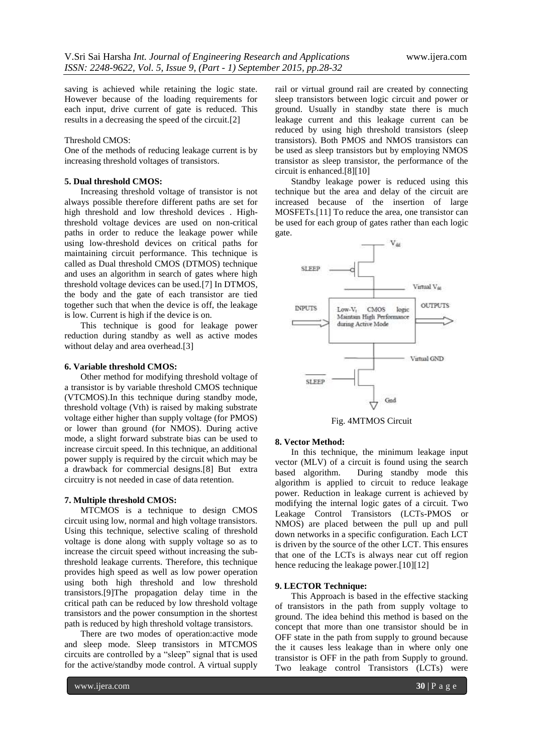saving is achieved while retaining the logic state. However because of the loading requirements for each input, drive current of gate is reduced. This results in a decreasing the speed of the circuit.[2]

## Threshold CMOS:

One of the methods of reducing leakage current is by increasing threshold voltages of transistors.

## **5. Dual threshold CMOS:**

Increasing threshold voltage of transistor is not always possible therefore different paths are set for high threshold and low threshold devices . Highthreshold voltage devices are used on non-critical paths in order to reduce the leakage power while using low-threshold devices on critical paths for maintaining circuit performance. This technique is called as Dual threshold CMOS (DTMOS) technique and uses an algorithm in search of gates where high threshold voltage devices can be used.[7] In DTMOS, the body and the gate of each transistor are tied together such that when the device is off, the leakage is low. Current is high if the device is on.

This technique is good for leakage power reduction during standby as well as active modes without delay and area overhead.[3]

## **6. Variable threshold CMOS:**

Other method for modifying threshold voltage of a transistor is by variable threshold CMOS technique (VTCMOS).In this technique during standby mode, threshold voltage (Vth) is raised by making substrate voltage either higher than supply voltage (for PMOS) or lower than ground (for NMOS). During active mode, a slight forward substrate bias can be used to increase circuit speed. In this technique, an additional power supply is required by the circuit which may be a drawback for commercial designs.[8] But extra circuitry is not needed in case of data retention.

#### **7. Multiple threshold CMOS:**

MTCMOS is a technique to design CMOS circuit using low, normal and high voltage transistors. Using this technique, selective scaling of threshold voltage is done along with supply voltage so as to increase the circuit speed without increasing the subthreshold leakage currents. Therefore, this technique provides high speed as well as low power operation using both high threshold and low threshold transistors.[9]The propagation delay time in the critical path can be reduced by low threshold voltage transistors and the power consumption in the shortest path is reduced by high threshold voltage transistors.

There are two modes of operation:active mode and sleep mode. Sleep transistors in MTCMOS circuits are controlled by a "sleep" signal that is used for the active/standby mode control. A virtual supply

rail or virtual ground rail are created by connecting sleep transistors between logic circuit and power or ground. Usually in standby state there is much leakage current and this leakage current can be reduced by using high threshold transistors (sleep transistors). Both PMOS and NMOS transistors can be used as sleep transistors but by employing NMOS transistor as sleep transistor, the performance of the circuit is enhanced.[8][10]

Standby leakage power is reduced using this technique but the area and delay of the circuit are increased because of the insertion of large MOSFETs.[11] To reduce the area, one transistor can be used for each group of gates rather than each logic gate.



Fig. 4MTMOS Circuit

#### **8. Vector Method:**

In this technique, the minimum leakage input vector (MLV) of a circuit is found using the search based algorithm. During standby mode this algorithm is applied to circuit to reduce leakage power. Reduction in leakage current is achieved by modifying the internal logic gates of a circuit. Two Leakage Control Transistors (LCTs-PMOS or NMOS) are placed between the pull up and pull down networks in a specific configuration. Each LCT is driven by the source of the other LCT. This ensures that one of the LCTs is always near cut off region hence reducing the leakage power.[10][12]

#### **9. LECTOR Technique:**

This Approach is based in the effective stacking of transistors in the path from supply voltage to ground. The idea behind this method is based on the concept that more than one transistor should be in OFF state in the path from supply to ground because the it causes less leakage than in where only one transistor is OFF in the path from Supply to ground. Two leakage control Transistors (LCTs) were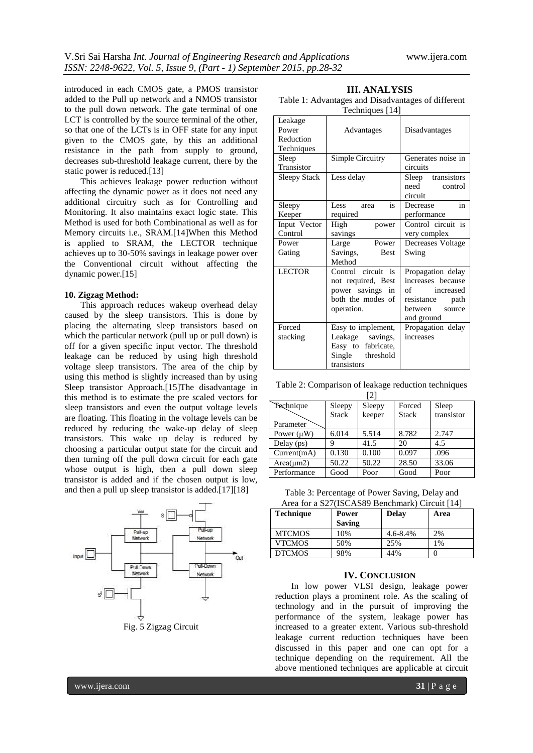introduced in each CMOS gate, a PMOS transistor added to the Pull up network and a NMOS transistor to the pull down network. The gate terminal of one LCT is controlled by the source terminal of the other, so that one of the LCTs is in OFF state for any input given to the CMOS gate, by this an additional resistance in the path from supply to ground, decreases sub-threshold leakage current, there by the static power is reduced.[13]

This achieves leakage power reduction without affecting the dynamic power as it does not need any additional circuitry such as for Controlling and Monitoring. It also maintains exact logic state. This Method is used for both Combinational as well as for Memory circuits i.e., SRAM.[14]When this Method is applied to SRAM, the LECTOR technique achieves up to 30-50% savings in leakage power over the Conventional circuit without affecting the dynamic power.[15]

#### **10. Zigzag Method:**

This approach reduces wakeup overhead delay caused by the sleep transistors. This is done by placing the alternating sleep transistors based on which the particular network (pull up or pull down) is off for a given specific input vector. The threshold leakage can be reduced by using high threshold voltage sleep transistors. The area of the chip by using this method is slightly increased than by using Sleep transistor Approach.[15]The disadvantage in this method is to estimate the pre scaled vectors for sleep transistors and even the output voltage levels are floating. This floating in the voltage levels can be reduced by reducing the wake-up delay of sleep transistors. This wake up delay is reduced by choosing a particular output state for the circuit and then turning off the pull down circuit for each gate whose output is high, then a pull down sleep transistor is added and if the chosen output is low, and then a pull up sleep transistor is added.[17][18]



**III. ANALYSIS** Table 1: Advantages and Disadvantages of different

| Techniques [14]               |                                                                                                    |                                                                                                                         |  |  |  |  |
|-------------------------------|----------------------------------------------------------------------------------------------------|-------------------------------------------------------------------------------------------------------------------------|--|--|--|--|
| Leakage<br>Power<br>Reduction | Advantages                                                                                         | Disadvantages                                                                                                           |  |  |  |  |
| Techniques                    |                                                                                                    |                                                                                                                         |  |  |  |  |
| Sleep                         | Simple Circuitry                                                                                   | Generates noise in                                                                                                      |  |  |  |  |
| Transistor                    |                                                                                                    | circuits                                                                                                                |  |  |  |  |
| <b>Sleepy Stack</b>           | Less delay                                                                                         | Sleep transistors<br>need<br>control<br>circuit                                                                         |  |  |  |  |
| Sleepy                        | Less<br>is<br>area                                                                                 | Decrease<br>in                                                                                                          |  |  |  |  |
| Keeper                        | required                                                                                           | performance                                                                                                             |  |  |  |  |
| Input Vector                  | High<br>power                                                                                      | Control circuit is                                                                                                      |  |  |  |  |
| Control                       | savings                                                                                            | very complex                                                                                                            |  |  |  |  |
| Power                         | Power<br>Large                                                                                     | Decreases Voltage                                                                                                       |  |  |  |  |
| Gating                        | Savings,<br><b>Best</b><br>Method                                                                  | Swing                                                                                                                   |  |  |  |  |
| <b>LECTOR</b>                 | Control circuit is<br>not required, Best<br>power savings<br>in<br>both the modes of<br>operation. | Propagation delay<br>increases because<br>$\sigma$ f<br>increased<br>resistance<br>path<br>between source<br>and ground |  |  |  |  |
| Forced<br>stacking            | Easy to implement,<br>Leakage savings,<br>Easy to fabricate,<br>threshold<br>Single<br>transistors | Propagation delay<br>increases                                                                                          |  |  |  |  |

Table 2: Comparison of leakage reduction techniques  $[2]$ 

|                 |              | $\vert \angle$ |              |            |
|-----------------|--------------|----------------|--------------|------------|
| Technique       | Sleepy       | Sleepy         | Forced       | Sleep      |
|                 | <b>Stack</b> | keeper         | <b>Stack</b> | transistor |
| Parameter       |              |                |              |            |
| Power $(\mu W)$ | 6.014        | 5.514          | 8.782        | 2.747      |
| Delay $(ps)$    |              | 41.5           | 20           | 4.5        |
| Current(mA)     | 0.130        | 0.100          | 0.097        | .096       |
| $Area(\mu m2)$  | 50.22        | 50.22          | 28.50        | 33.06      |
| Performance     | Good         | Poor           | Good         | Poor       |

Table 3: Percentage of Power Saving, Delay and Area for a S27(ISCAS89 Benchmark) Circuit [14]

| <b>Technique</b> | Power         | <b>Delay</b> | Area |
|------------------|---------------|--------------|------|
|                  | <b>Saving</b> |              |      |
| <b>MTCMOS</b>    | 10%           | 4.6-8.4%     | 2%   |
| <b>VTCMOS</b>    | 50%           | 25%          | 1%   |
| <b>DTCMOS</b>    | 98%           | 44%          |      |

### **IV. CONCLUSION**

In low power VLSI design, leakage power reduction plays a prominent role. As the scaling of technology and in the pursuit of improving the performance of the system, leakage power has increased to a greater extent. Various sub-threshold leakage current reduction techniques have been discussed in this paper and one can opt for a technique depending on the requirement. All the above mentioned techniques are applicable at circuit

www.ijera.com **31** | P a g e